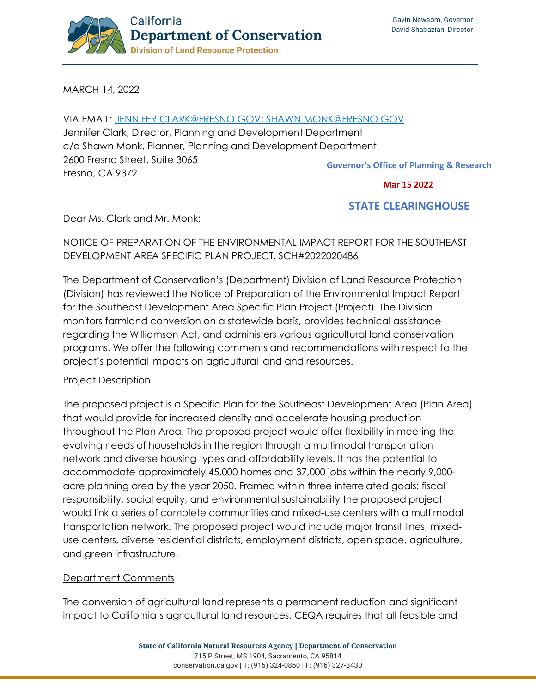

MARCH 14, 2022

VIA EMAIL: [JENNIFER.CLARK@FRESNO.GOV;](mailto:Jennifer.Clark@fresno.gov;) SHAWN.MONK@FRESNO.GOV Jennifer Clark, Director, Planning and Development Department c/o Shawn Monk, Planner, Planning and Development Department 2600 Fresno Street, Suite 3065 Fresno, CA 93721 **Governor's Office of Planning & Research**

 **Mar 15 2022**

# **STATE CLEARINGHOUSE**

Dear Ms. Clark and Mr. Monk:

# NOTICE OF PREPARATION OF THE ENVIRONMENTAL IMPACT REPORT FOR THE SOUTHEAST DEVELOPMENT AREA SPECIFIC PLAN PROJECT, SCH#2022020486

The Department of Conservation's (Department) Division of Land Resource Protection (Division) has reviewed the Notice of Preparation of the Environmental Impact Report for the Southeast Development Area Specific Plan Project (Project). The Division monitors farmland conversion on a statewide basis, provides technical assistance regarding the Williamson Act, and administers various agricultural land conservation programs. We offer the following comments and recommendations with respect to the project's potential impacts on agricultural land and resources.

## Project Description

The proposed project is a Specific Plan for the Southeast Development Area (Plan Area) that would provide for increased density and accelerate housing production throughout the Plan Area. The proposed project would offer flexibility in meeting the evolving needs of households in the region through a multimodal transportation network and diverse housing types and affordability levels. It has the potential to accommodate approximately 45,000 homes and 37,000 jobs within the nearly 9,000 acre planning area by the year 2050. Framed within three interrelated goals: fiscal responsibility, social equity, and environmental sustainability the proposed project would link a series of complete communities and mixed-use centers with a multimodal transportation network. The proposed project would include major transit lines, mixeduse centers, diverse residential districts, employment districts, open space, agriculture, and green infrastructure.

## Department Comments

The conversion of agricultural land represents a permanent reduction and significant impact to California's agricultural land resources. CEQA requires that all feasible and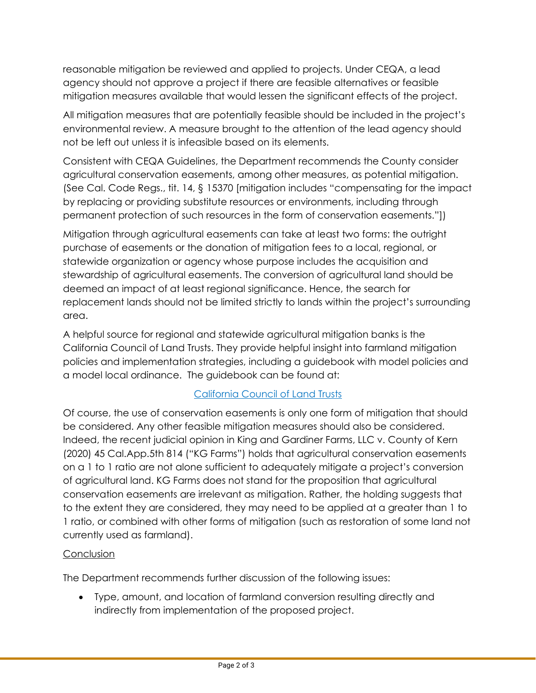reasonable mitigation be reviewed and applied to projects. Under CEQA, a lead agency should not approve a project if there are feasible alternatives or feasible mitigation measures available that would lessen the significant effects of the project.

All mitigation measures that are potentially feasible should be included in the project's environmental review. A measure brought to the attention of the lead agency should not be left out unless it is infeasible based on its elements.

Consistent with CEQA Guidelines, the Department recommends the County consider agricultural conservation easements, among other measures, as potential mitigation. (See Cal. Code Regs., tit. 14, § 15370 [mitigation includes "compensating for the impact by replacing or providing substitute resources or environments, including through permanent protection of such resources in the form of conservation easements."])

Mitigation through agricultural easements can take at least two forms: the outright purchase of easements or the donation of mitigation fees to a local, regional, or statewide organization or agency whose purpose includes the acquisition and stewardship of agricultural easements. The conversion of agricultural land should be deemed an impact of at least regional significance. Hence, the search for replacement lands should not be limited strictly to lands within the project's surrounding area.

A helpful source for regional and statewide agricultural mitigation banks is the California Council of Land Trusts. They provide helpful insight into farmland mitigation policies and implementation strategies, including a guidebook with model policies and a model local ordinance. The guidebook can be found at:

# [California Council of Land Trusts](https://www.calandtrusts.org/resources/conserving-californias-harvest/)

Of course, the use of conservation easements is only one form of mitigation that should be considered. Any other feasible mitigation measures should also be considered. Indeed, the recent judicial opinion in King and Gardiner Farms, LLC v. County of Kern (2020) 45 Cal.App.5th 814 ("KG Farms") holds that agricultural conservation easements on a 1 to 1 ratio are not alone sufficient to adequately mitigate a project's conversion of agricultural land. KG Farms does not stand for the proposition that agricultural conservation easements are irrelevant as mitigation. Rather, the holding suggests that to the extent they are considered, they may need to be applied at a greater than 1 to 1 ratio, or combined with other forms of mitigation (such as restoration of some land not currently used as farmland).

# **Conclusion**

The Department recommends further discussion of the following issues:

• Type, amount, and location of farmland conversion resulting directly and indirectly from implementation of the proposed project.